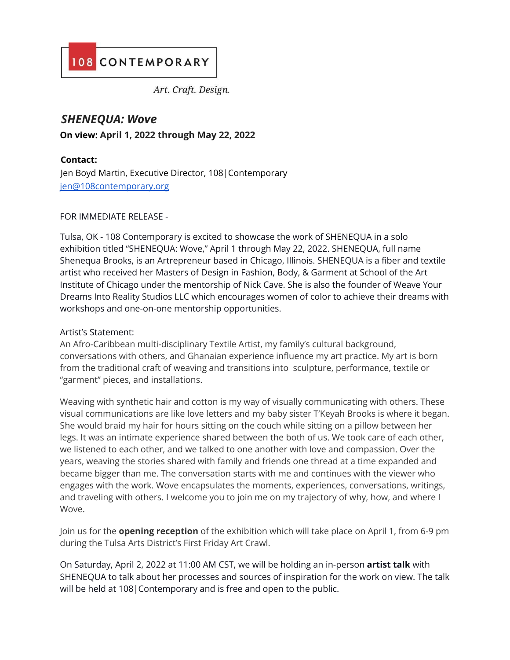# 108 CONTEMPORARY

Art. Craft. Design.

# *SHENEQUA: Wove*

**On view: April 1, 2022 through May 22, 2022**

## **Contact:**

Jen Boyd Martin, Executive Director, 108|Contemporary jen@108contemporary.org

#### FOR IMMEDIATE RELEASE -

Tulsa, OK - 108 Contemporary is excited to showcase the work of SHENEQUA in a solo exhibition titled "SHENEQUA: Wove," April 1 through May 22, 2022. SHENEQUA, full name Shenequa Brooks, is an Artrepreneur based in Chicago, Illinois. SHENEQUA is a fiber and textile artist who received her Masters of Design in Fashion, Body, & Garment at School of the Art Institute of Chicago under the mentorship of Nick Cave. She is also the founder of Weave Your Dreams Into Reality Studios LLC which encourages women of color to achieve their dreams with workshops and one-on-one mentorship opportunities.

### Artist's Statement:

An Afro-Caribbean multi-disciplinary Textile Artist, my family's cultural background, conversations with others, and Ghanaian experience influence my art practice. My art is born from the traditional craft of weaving and transitions into sculpture, performance, textile or "garment" pieces, and installations.

Weaving with synthetic hair and cotton is my way of visually communicating with others. These visual communications are like love letters and my baby sister T'Keyah Brooks is where it began. She would braid my hair for hours sitting on the couch while sitting on a pillow between her legs. It was an intimate experience shared between the both of us. We took care of each other, we listened to each other, and we talked to one another with love and compassion. Over the years, weaving the stories shared with family and friends one thread at a time expanded and became bigger than me. The conversation starts with me and continues with the viewer who engages with the work. Wove encapsulates the moments, experiences, conversations, writings, and traveling with others. I welcome you to join me on my trajectory of why, how, and where I Wove.

Join us for the **opening reception** of the exhibition which will take place on April 1, from 6-9 pm during the Tulsa Arts District's First Friday Art Crawl.

On Saturday, April 2, 2022 at 11:00 AM CST, we will be holding an in-person **artist talk** with SHENEQUA to talk about her processes and sources of inspiration for the work on view. The talk will be held at 108|Contemporary and is free and open to the public.